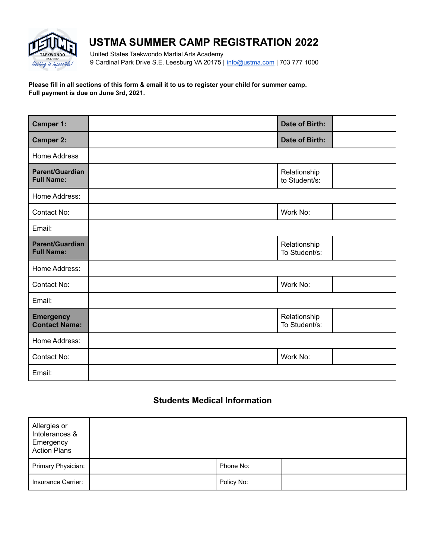

# **USTMA SUMMER CAMP REGISTRATION 2022**

United States Taekwondo Martial Arts Academy 9 Cardinal Park Drive S.E. Leesburg VA 20175 | [info@ustma.com](mailto:info@ustma.com) | 703 777 1000

#### **Please fill in all sections of this form & email it to us to register your child for summer camp. Full payment is due on June 3rd, 2021.**

| Camper 1:                                   | Date of Birth:                |  |
|---------------------------------------------|-------------------------------|--|
| <b>Camper 2:</b>                            | Date of Birth:                |  |
| <b>Home Address</b>                         |                               |  |
| Parent/Guardian<br><b>Full Name:</b>        | Relationship<br>to Student/s: |  |
| Home Address:                               |                               |  |
| Contact No:                                 | Work No:                      |  |
| Email:                                      |                               |  |
| <b>Parent/Guardian</b><br><b>Full Name:</b> | Relationship<br>To Student/s: |  |
| Home Address:                               |                               |  |
| Contact No:                                 | Work No:                      |  |
| Email:                                      |                               |  |
| <b>Emergency</b><br><b>Contact Name:</b>    | Relationship<br>To Student/s: |  |
| Home Address:                               |                               |  |
| Contact No:                                 | Work No:                      |  |
| Email:                                      |                               |  |

# **Students Medical Information**

| Allergies or<br>Intolerances &<br>Emergency<br><b>Action Plans</b> |            |  |
|--------------------------------------------------------------------|------------|--|
| Primary Physician:                                                 | Phone No:  |  |
| Insurance Carrier:                                                 | Policy No: |  |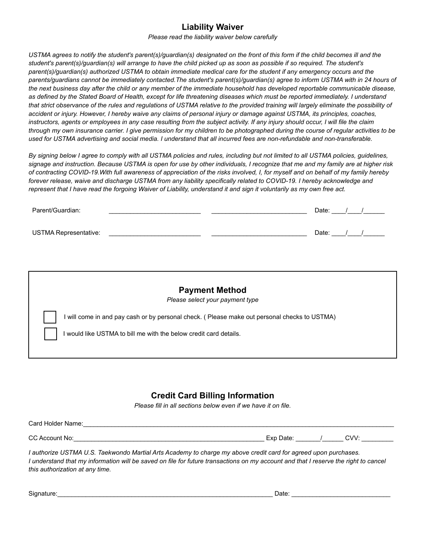## **Liability Waiver**

*Please read the liability waiver below carefully*

*USTMA agrees to notify the student's parent(s)/guardian(s) designated on the front of this form if the child becomes ill and the student's parent(s)/guardian(s) will arrange to have the child picked up as soon as possible if so required. The student's parent(s)/guardian(s) authorized USTMA to obtain immediate medical care for the student if any emergency occurs and the parents/guardians cannot be immediately contacted.The student's parent(s)/guardian(s) agree to inform USTMA with in 24 hours of the next business day after the child or any member of the immediate household has developed reportable communicable disease, as defined by the Stated Board of Health, except for life threatening diseases which must be reported immediately. I understand that strict observance of the rules and regulations of USTMA relative to the provided training will largely eliminate the possibility of accident or injury. However, I hereby waive any claims of personal injury or damage against USTMA, its principles, coaches, instructors, agents or employees in any case resulting from the subject activity. If any injury should occur, I will file the claim through my own insurance carrier. I give permission for my children to be photographed during the course of regular activities to be used for USTMA advertising and social media. I understand that all incurred fees are non-refundable and non-transferable.*

*By signing below I agree to comply with all USTMA policies and rules, including but not limited to all USTMA policies, guidelines, signage and instruction. Because USTMA is open for use by other individuals, I recognize that me and my family are at higher risk of contracting COVID-19.With full awareness of appreciation of the risks involved, I, for myself and on behalf of my family hereby forever release, waive and discharge USTMA from any liability specifically related to COVID-19. I hereby acknowledge and represent that I have read the forgoing Waiver of Liability, understand it and sign it voluntarily as my own free act.*

| Parent/Guardian:      |  | Date: |  |
|-----------------------|--|-------|--|
| USTMA Representative: |  | Date: |  |

| <b>Payment Method</b><br>Please select your payment type                                      |
|-----------------------------------------------------------------------------------------------|
| I will come in and pay cash or by personal check. ( Please make out personal checks to USTMA) |
| would like USTMA to bill me with the below credit card details.                               |

## **Credit Card Billing Information**

*Please fill in all sections below even if we have it on file.*

| Card Holder Name: |                  |  |      |  |  |  |  |
|-------------------|------------------|--|------|--|--|--|--|
|                   |                  |  |      |  |  |  |  |
| CC Account No:    | Exp Date:<br>∟∧ν |  | CVV: |  |  |  |  |

*I authorize USTMA U.S. Taekwondo Martial Arts Academy to charge my above credit card for agreed upon purchases. I understand that my information will be saved on file for future transactions on my account and that I reserve the right to cancel this authorization at any time.*

| Signature:<br>⊃ate: |  |
|---------------------|--|
|---------------------|--|